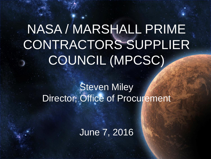# NASA / MARSHALL PRIME CONTRACTORS SUPPLIER COUNCIL (MPCSC)

#### Steven Miley Director, Office of Procurement

June 7, 2016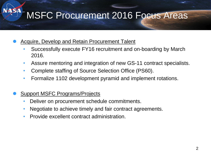## MSFC Procurement 2016 Focus Areas

- Acquire, Develop and Retain Procurement Talent
	- Successfully execute FY16 recruitment and on-boarding by March 2016.
	- Assure mentoring and integration of new GS-11 contract specialists.
	- Complete staffing of Source Selection Office (PS60).
	- Formalize 1102 development pyramid and implement rotations.
- Support MSFC Programs/Projects

**SA** 

- Deliver on procurement schedule commitments.
- Negotiate to achieve timely and fair contract agreements.
- Provide excellent contract administration.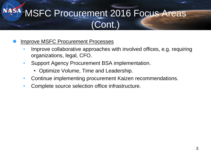## **ASA MSFC Procurement 2016 Focus Areas** (Cont.)

- Improve MSFC Procurement Processes
	- Improve collaborative approaches with involved offices, e.g. requiring organizations, legal, CFO.
	- Support Agency Procurement BSA implementation.
		- Optimize Volume, Time and Leadership.
	- Continue implementing procurement Kaizen recommendations.
	- Complete source selection office infrastructure.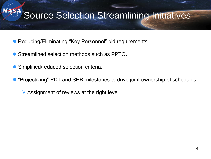### Source Selection Streamlining Initiatives

- Reducing/Eliminating "Key Personnel" bid requirements.
- Streamlined selection methods such as PPTO.
- Simplified/reduced selection criteria.

**SA** 

- "Projectizing" PDT and SEB milestones to drive joint ownership of schedules.
	- Assignment of reviews at the right level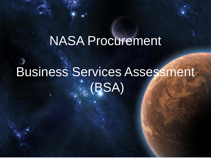## NASA Procurement

# Business Services Assessment (BSA)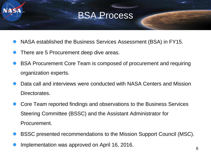#### BSA Process

- NASA established the Business Services Assessment (BSA) in FY15.
- There are 5 Procurement deep dive areas.
- BSA Procurement Core Team is composed of procurement and requiring organization experts.
- Data call and interviews were conducted with NASA Centers and Mission Directorates.
- Core Team reported findings and observations to the Business Services Steering Committee (BSSC) and the Assistant Administrator for Procurement.
- BSSC presented recommendations to the Mission Support Council (MSC).
- Implementation was approved on April 16, 2016.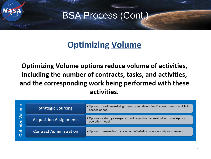

#### BSA Process (Cont.)

#### **Optimizing Volume**

Optimizing Volume options reduce volume of activities, including the number of contracts, tasks, and activities, and the corresponding work being performed with these activities.

| Φ<br>$\circ$<br>ize<br>ε<br>E | <b>Strategic Sourcing</b>      | • Options to evaluate existing contracts and determine if a new contract vehicle is<br>needed or not. |
|-------------------------------|--------------------------------|-------------------------------------------------------------------------------------------------------|
|                               | <b>Acquisition Assignments</b> | • Options for strategic assignments of acquisitions consistent with new Agency<br>operating model.    |
|                               | <b>Contract Administration</b> | . Options to streamline management of existing contracts and procurements.                            |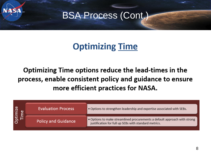

#### BSA Process (Cont.)

#### **Optimizing Time**

Optimizing Time options reduce the lead-times in the process, enable consistent policy and guidance to ensure more efficient practices for NASA.

| $\circ$ | <b>Evaluation Process</b>  | . Options to strengthen leadership and expertise associated with SEBs.                                                             |
|---------|----------------------------|------------------------------------------------------------------------------------------------------------------------------------|
|         | <b>Policy and Guidance</b> | . Options to make streamlined procurements a default approach with strong<br>justification for full up SEBs with standard metrics. |